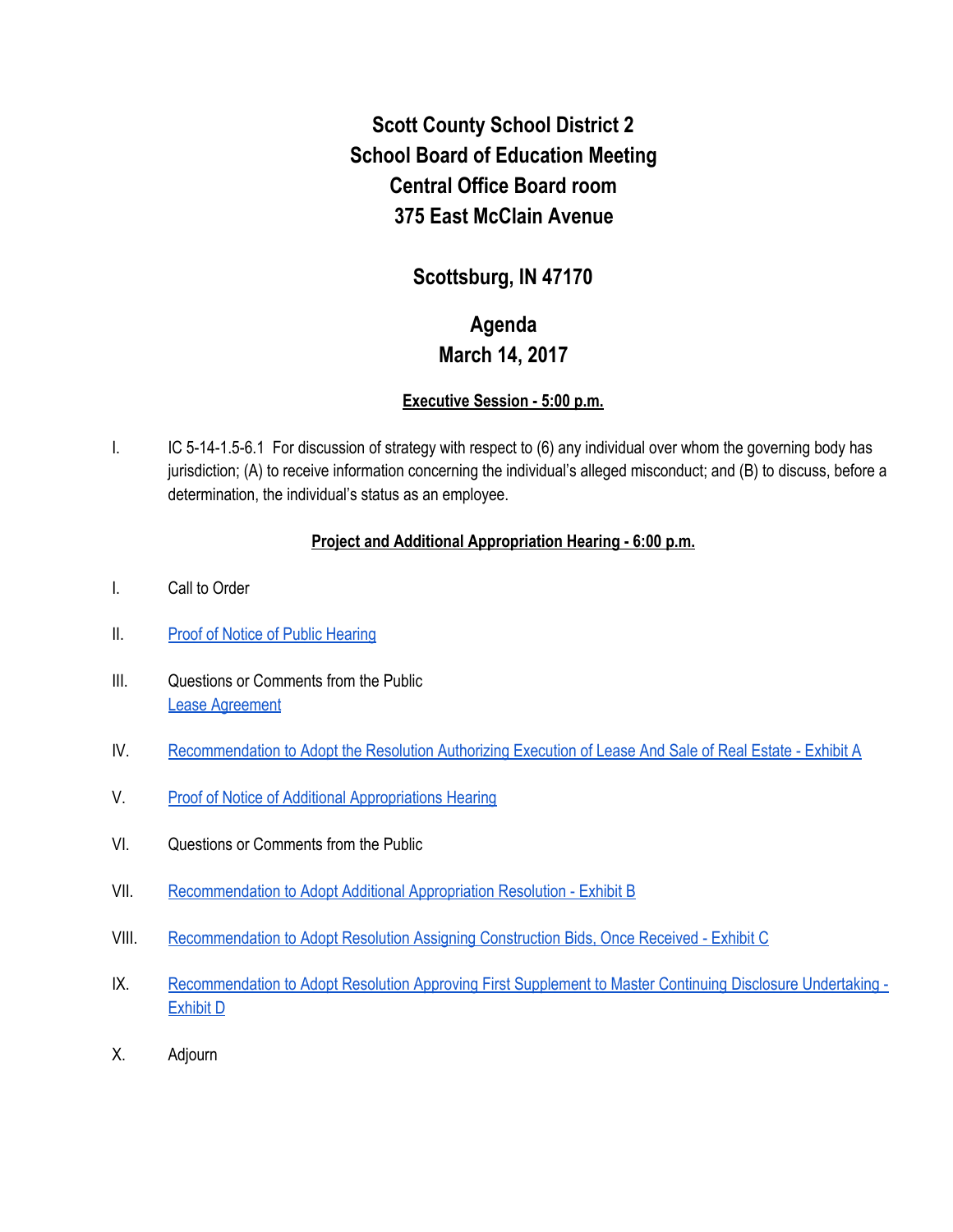# **Scott County School District 2 School Board of Education Meeting Central Office Board room 375 East McClain Avenue**

### **Scottsburg, IN 47170**

## **Agenda March 14, 2017**

#### **Executive Session - 5:00 p.m.**

I. IC 5-14-1.5-6.1 For discussion of strategy with respect to (6) any individual over whom the governing body has jurisdiction; (A) to receive information concerning the individual's alleged misconduct; and (B) to discuss, before a determination, the individual's status as an employee.

#### **Project and Additional Appropriation Hearing - 6:00 p.m.**

- I. Call to Order
- II. [Proof of Notice of Public Hearing](https://drive.google.com/file/d/0BxXvxnGh3EX1eVNwOTdBQ0hPNlJwTGJZc3JpWDhlR2JxcFBZ/view)
- III. Questions or Comments from the Public [Lease Agreement](https://drive.google.com/file/d/0BxXvxnGh3EX1eE1NOHg4SGxXSGYyZ2pabkxfTDVteF90dUdr/view)
- IV. [Recommendation to Adopt the Resolution Authorizing Execution of Lease And Sale of Real Estate Exhibit A](https://drive.google.com/file/d/0BxXvxnGh3EX1VGF3UnhOUC1qbHZMTXFPTmloRTlVUno3QUU0/view)
- V. [Proof of Notice of Additional Appropriations Hearing](https://drive.google.com/file/d/0BxXvxnGh3EX1UzBTc0pQVk5fRWgyd1ZOWmZCdkUtbDlIYkJN/view)
- VI. Questions or Comments from the Public
- VII. [Recommendation to Adopt Additional Appropriation Resolution Exhibit B](https://drive.google.com/file/d/0BxXvxnGh3EX1T21JRjlWUm5aUDBIZlZKNDVsMjFRcU5ydWJJ/view)
- VIII. [Recommendation to Adopt Resolution Assigning Construction Bids, Once Received Exhibit C](https://drive.google.com/file/d/0BxXvxnGh3EX1eG82TTRGN2NzcFVMYVhKbURZdE9mMUYtUlJn/view)
- IX. [Recommendation to Adopt Resolution Approving First Supplement to Master Continuing Disclosure Undertaking -](https://drive.google.com/file/d/0BxXvxnGh3EX1cHc0em1WVEVuU1F1dlliQUNDRUNZSUdsQURJ/view) [Exhibit D](https://drive.google.com/file/d/0BxXvxnGh3EX1cHc0em1WVEVuU1F1dlliQUNDRUNZSUdsQURJ/view)
- X. Adjourn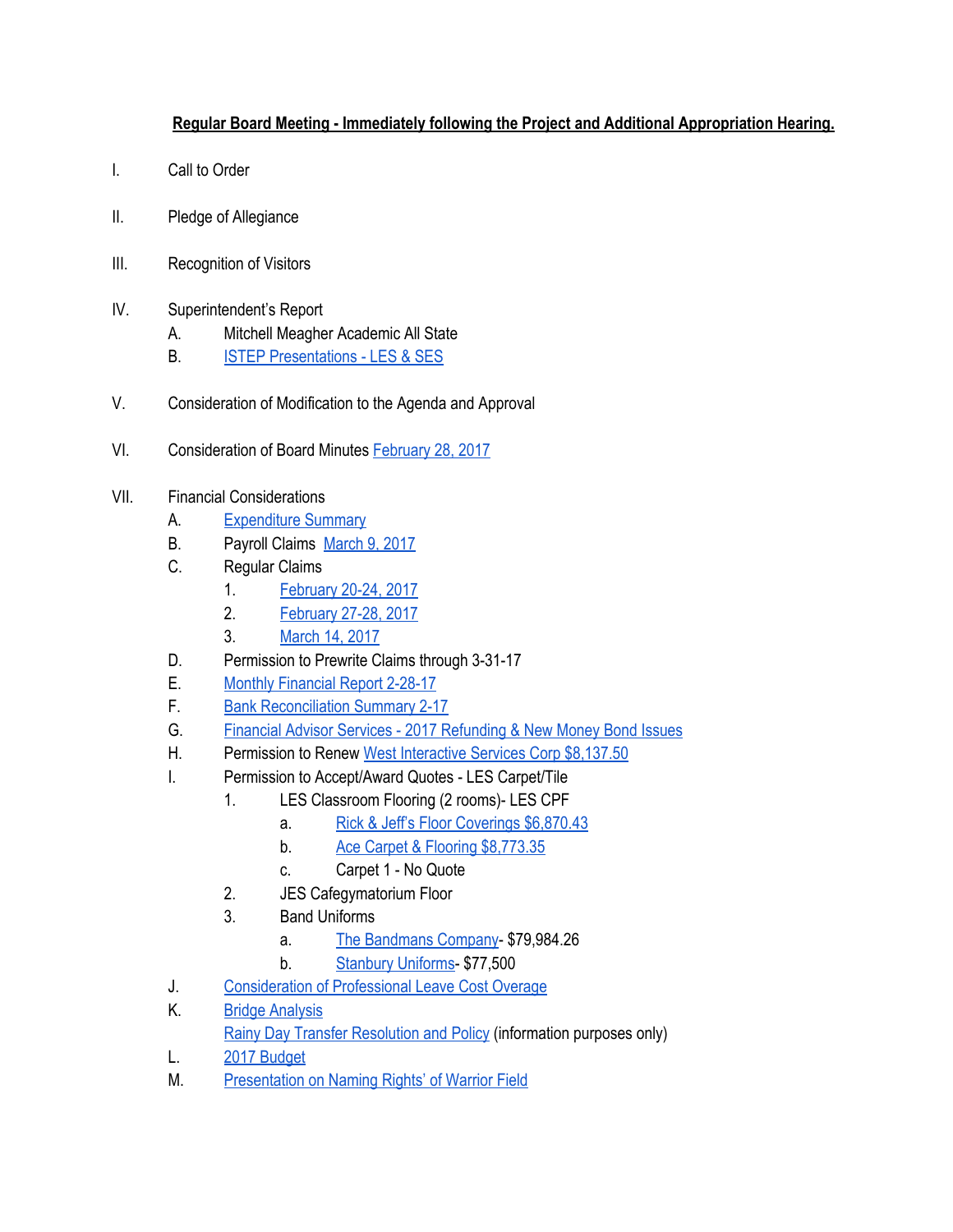#### **Regular Board Meeting - Immediately following the Project and Additional Appropriation Hearing.**

- I. Call to Order
- II. Pledge of Allegiance
- III. Recognition of Visitors
- IV. Superintendent's Report
	- A. Mitchell Meagher Academic All State
	- B. [ISTEP Presentations LES & SES](https://docs.google.com/presentation/d/1r1i_4oFcgrTswfZoJHhmm6BaTg1B0Hb6XFa3Xx0bwJk/edit#slide=id.p)
- V. Consideration of Modification to the Agenda and Approval
- VI. Consideration of Board Minutes [February 28, 2017](https://docs.google.com/document/d/1Mx77mUMZmrzDI-lsUefArbsZb2zMoKN6r_kDNeFDLFE/edit)

#### VII. Financial Considerations

- A. [Expenditure Summary](https://drive.google.com/file/d/0BxXvxnGh3EX1RWhmX1F6eEdqVnhwMV9RM2hxSnBtSmRXV0Jr/view)
- B. Payroll Claims [March 9, 2017](https://drive.google.com/file/d/0BxXvxnGh3EX1S3dkMEJKbXJSTTZzY1lOOWRFcDJ4YlFUZGNF/view)
- C. Regular Claims
	- 1. [February 20-24, 2017](https://drive.google.com/file/d/0BxXvxnGh3EX1VmpRSHN6Vm9rNjhSeGE5OXZtbllEMHE5U3BJ/view)
	- 2. [February 27-28, 2017](https://drive.google.com/file/d/0BxXvxnGh3EX1eEs3YWNaQU5WM0thMjltTTZ2VjZ4Si1jS0g4/view)
	- 3. [March 14, 2017](https://drive.google.com/file/d/0BxXvxnGh3EX1a1FkeG9zMHJiUWtLY21sRjhrWjc1ektQMkMw/view)
- D. Permission to Prewrite Claims through 3-31-17
- E. [Monthly Financial Report 2-28-17](https://drive.google.com/file/d/0BxXvxnGh3EX1dC1OcGRXSHU0V2paOWxfVF9FbnR4TU5UWDl3/view)
- F. [Bank Reconciliation Summary 2-17](https://drive.google.com/file/d/0BxXvxnGh3EX1OGRGWTFWUjNGc0MzcEk1Sjg3MnZCQ09YYWc0/view)
- G. [Financial Advisor Services 2017 Refunding & New Money Bond Issues](https://drive.google.com/file/d/0BxXvxnGh3EX1bDU3cWdINXN1VGh0WnhFSGpWNWxVaVozODE4/view)
- H. Permission to Renew [West Interactive Services Corp \\$8,137.50](https://drive.google.com/file/d/0BxXvxnGh3EX1ZjJPc3lZSW9jRHJVUlg3dl9IUFVjaGE2eWw4/view)
- I. Permission to Accept/Award Quotes LES Carpet/Tile
	- 1. LES Classroom Flooring (2 rooms)- LES CPF
		- a. [Rick & Jeff's Floor Coverings \\$6,870.43](https://drive.google.com/file/d/0BxXvxnGh3EX1U2VIRGx2YzdCSVU4NU0zMGhtVjZJN2s4TDNV/view)
		- b. [Ace Carpet & Flooring \\$8,773.35](https://drive.google.com/file/d/0BxXvxnGh3EX1MFA4VkV1eEcwRTRSeGRvZDVPemRnbTNvbGw4/view)
		- c. Carpet 1 No Quote
	- 2. JES Cafegymatorium Floor
	- 3. Band Uniforms
		- a. [The Bandmans Company-](https://drive.google.com/file/d/0BxXvxnGh3EX1MHdHQkZWeEdMN2UtLWxnLTl2T2F6WUpYbGVj/view) \$79,984.26
		- b. [Stanbury Uniforms](https://drive.google.com/file/d/0BxXvxnGh3EX1dXhyZ2xPNXlHNTNKN2ViUFBhSnNYNm5iRGpZ/view) \$77,500
- J. [Consideration of Professional Leave Cost Overage](https://drive.google.com/file/d/0BxXvxnGh3EX1MHRzOTAwb3Q1bjlLWi1NSmVzY0ZtV0pWVWxV/view)
- K. [Bridge Analysis](https://drive.google.com/file/d/0BxXvxnGh3EX1YVdGNjBfN2psbmgzOUJJVlFxVGx3dVNkMVJN/view)
	- [Rainy Day Transfer Resolution and Policy](https://drive.google.com/file/d/0BxXvxnGh3EX1YktRcWNBaEpCTVpLM1hEOXlCWVNwel82eGdn/view) (information purposes only)
- L. [2017 Budget](https://drive.google.com/file/d/0BxXvxnGh3EX1enNfX3BMUnl6U2V2S2c5b1NVUks5N1lGWjdV/view)
- M. [Presentation on Naming Rights' of Warrior Field](https://drive.google.com/file/d/0BxXvxnGh3EX1VU9xb0dJdEQxQVNXRkF1eGg4bi0tOXFUbHc0/view)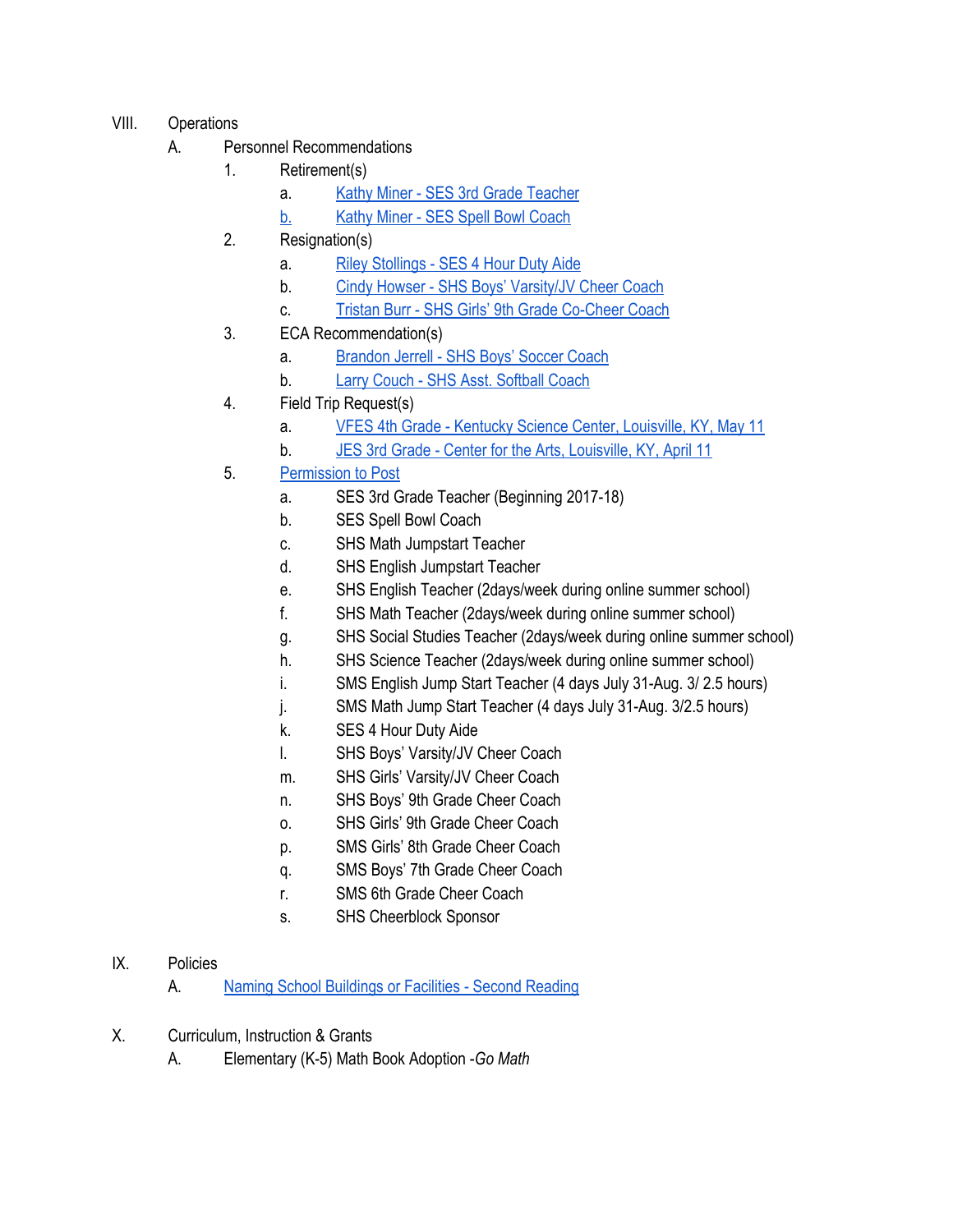- VIII. Operations
	- A. Personnel Recommendations
		- 1. Retirement(s)
			- a. [Kathy Miner SES 3rd Grade Teacher](https://drive.google.com/file/d/0BxXvxnGh3EX1UnJpSmtzWGhqd1pDUUpFRUdmbkFWaUM1RG9B/view)
			- [b.](https://drive.google.com/file/d/0BxXvxnGh3EX1UnJpSmtzWGhqd1pDUUpFRUdmbkFWaUM1RG9B/view) [Kathy Miner SES Spell Bowl Coach](https://drive.google.com/file/d/0BxXvxnGh3EX1UnJpSmtzWGhqd1pDUUpFRUdmbkFWaUM1RG9B/view)
		- 2. Resignation(s)
			- a. [Riley Stollings SES 4 Hour Duty Aide](https://drive.google.com/file/d/0BxXvxnGh3EX1X21MWDlCRDJYRTMya2VhTnBmZEszck1FMDd3/view)
			- b. [Cindy Howser SHS Boys' Varsity/JV Cheer Coach](https://drive.google.com/file/d/0BxXvxnGh3EX1OGcwUEdrUXpxNm8tcVV6bGxLMldGRGpiMDRz/view)
			- c. [Tristan Burr SHS Girls' 9th Grade Co-Cheer Coach](https://drive.google.com/file/d/0BxXvxnGh3EX1RTNWWGMtdjVzQlNDVWlwM0E0R1ZudTg1Qmxr/view)
		- 3. ECA Recommendation(s)
			- a. [Brandon Jerrell SHS Boys' Soccer Coach](https://drive.google.com/file/d/0BxXvxnGh3EX1OG5XLUdkdFdPR3YtZU0tem1YaVJFMlhsV2lJ/view)
			- b. [Larry Couch SHS Asst. Softball Coach](https://drive.google.com/file/d/0BxXvxnGh3EX1U3VwUFN1R3lUdHNzX2tqVk5hUmVOQXBlc3U4/view)
		- 4. Field Trip Request(s)
			- a. [VFES 4th Grade Kentucky Science Center, Louisville, KY, May 11](https://drive.google.com/file/d/0BxXvxnGh3EX1cDVtMEwzVmNJNmp2Wnc0U1pJV2NFTkRTY0Q4/view)
			- b. [JES 3rd Grade Center for the Arts, Louisville, KY, April 11](https://drive.google.com/file/d/0BxXvxnGh3EX1ZXJyNlJPUHc3VXBuWWlJRGF1UGpLNGU0RzN3/view)
		- 5. [Permission to Post](https://docs.google.com/document/d/14ZpBBadWRWdroEY4HYCuMFEtV6JeNc5iewJU6RYLOwg/edit)
			- a. SES 3rd Grade Teacher (Beginning 2017-18)
			- b. SES Spell Bowl Coach
			- c. SHS Math Jumpstart Teacher
			- d. SHS English Jumpstart Teacher
			- e. SHS English Teacher (2days/week during online summer school)
			- f. SHS Math Teacher (2days/week during online summer school)
			- g. SHS Social Studies Teacher (2days/week during online summer school)
			- h. SHS Science Teacher (2days/week during online summer school)
			- i. SMS English Jump Start Teacher (4 days July 31-Aug. 3/ 2.5 hours)
			- j. SMS Math Jump Start Teacher (4 days July 31-Aug. 3/2.5 hours)
			- k. SES 4 Hour Duty Aide
			- l. SHS Boys' Varsity/JV Cheer Coach
			- m. SHS Girls' Varsity/JV Cheer Coach
			- n. SHS Boys' 9th Grade Cheer Coach
			- o. SHS Girls' 9th Grade Cheer Coach
			- p. SMS Girls' 8th Grade Cheer Coach
			- q. SMS Boys' 7th Grade Cheer Coach
			- r. SMS 6th Grade Cheer Coach
			- s. SHS Cheerblock Sponsor
- IX. Policies
	- A. [Naming School Buildings or Facilities Second Reading](https://docs.google.com/document/d/1n-ZOzOzNwkO63h4lClcu_rf_rCzJaAbZ082f17o7PA8/edit)
- X. Curriculum, Instruction & Grants
	- A. Elementary (K-5) Math Book Adoption -*Go Math*